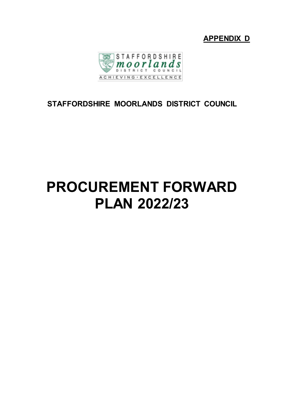



## **STAFFORDSHIRE MOORLANDS DISTRICT COUNCIL**

# **PROCUREMENT FORWARD PLAN 2022/23**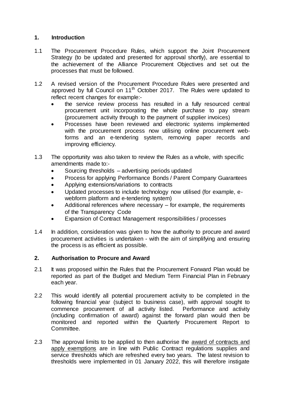#### **1. Introduction**

- 1.1 The Procurement Procedure Rules, which support the Joint Procurement Strategy (to be updated and presented for approval shortly), are essential to the achievement of the Alliance Procurement Objectives and set out the processes that must be followed.
- 1.2 A revised version of the Procurement Procedure Rules were presented and approved by full Council on  $11<sup>th</sup>$  October 2017. The Rules were updated to reflect recent changes for example:
	- the service review process has resulted in a fully resourced central procurement unit incorporating the whole purchase to pay stream (procurement activity through to the payment of supplier invoices)
	- Processes have been reviewed and electronic systems implemented with the procurement process now utilising online procurement webforms and an e-tendering system, removing paper records and improving efficiency.
- 1.3 The opportunity was also taken to review the Rules as a whole, with specific amendments made to:-
	- Sourcing thresholds advertising periods updated
	- Process for applying Performance Bonds / Parent Company Guarantees
	- Applying extensions/variations to contracts
	- Updated processes to include technology now utilised (for example, ewebform platform and e-tendering system)
	- Additional references where necessary for example, the requirements of the Transparency Code
	- Expansion of Contract Management responsibilities / processes
- 1.4 In addition, consideration was given to how the authority to procure and award procurement activities is undertaken - with the aim of simplifying and ensuring the process is as efficient as possible.

#### **2. Authorisation to Procure and Award**

- 2.1 It was proposed within the Rules that the Procurement Forward Plan would be reported as part of the Budget and Medium Term Financial Plan in February each year.
- 2.2 This would identify all potential procurement activity to be completed in the following financial year (subject to business case), with approval sought to commence procurement of all activity listed. Performance and activity (including confirmation of award) against the forward plan would then be monitored and reported within the Quarterly Procurement Report to Committee.
- 2.3 The approval limits to be applied to then authorise the award of contracts and apply exemptions are in line with Public Contract regulations supplies and service thresholds which are refreshed every two years. The latest revision to thresholds were implemented in 01 January 2022, this will therefore instigate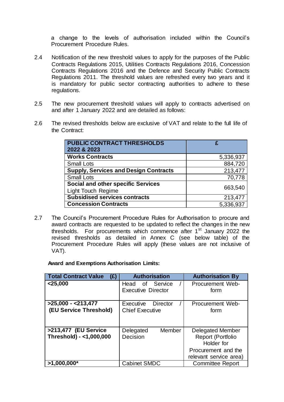a change to the levels of authorisation included within the Council's Procurement Procedure Rules.

- 2.4 Notification of the new threshold values to apply for the purposes of the Public Contracts Regulations 2015, Utilities Contracts Regulations 2016, Concession Contracts Regulations 2016 and the Defence and Security Public Contracts Regulations 2011. The threshold values are refreshed every two years and it is mandatory for public sector contracting authorities to adhere to these regulations.
- 2.5 The new procurement threshold values will apply to contracts advertised on and after 1 January 2022 and are detailed as follows:
- 2.6 The revised thresholds below are exclusive of VAT and relate to the full life of the Contract:

| <b>PUBLIC CONTRACT THRESHOLDS</b><br>2022 & 2023                       | £         |
|------------------------------------------------------------------------|-----------|
| <b>Works Contracts</b>                                                 | 5,336,937 |
| <b>Small Lots</b>                                                      | 884,720   |
| <b>Supply, Services and Design Contracts</b>                           | 213,477   |
| <b>Small Lots</b>                                                      | 70,778    |
| <b>Social and other specific Services</b><br><b>Light Touch Regime</b> | 663,540   |
| <b>Subsidised services contracts</b>                                   | 213,477   |
| <b>Concession Contracts</b>                                            | 5,336,937 |

2.7 The Council's Procurement Procedure Rules for Authorisation to procure and award contracts are requested to be updated to reflect the changes in the new thresholds. For procurements which commence after  $1<sup>st</sup>$  January 2022 the revised thresholds as detailed in Annex C (see below table) of the Procurement Procedure Rules will apply (these values are not inclusive of VAT).

**Award and Exemptions Authorisation Limits:**

| <b>Total Contract Value</b><br>(E)              | <b>Authorisation</b>                            | <b>Authorisation By</b>                                                                                     |
|-------------------------------------------------|-------------------------------------------------|-------------------------------------------------------------------------------------------------------------|
| $<$ 25,000                                      | of Service<br>Head<br><b>Executive Director</b> | Procurement Web-<br>form                                                                                    |
| $>25,000 - 213,477$                             | Executive<br>Director                           | Procurement Web-                                                                                            |
| (EU Service Threshold)                          | <b>Chief Executive</b>                          | form                                                                                                        |
| >213,477 (EU Service<br>Threshold) - <1,000,000 | Member<br>Delegated<br>Decision                 | <b>Delegated Member</b><br>Report (Portfolio<br>Holder for<br>Procurement and the<br>relevant service area) |
| $>1,000,000*$                                   | <b>Cabinet SMDC</b>                             | <b>Committee Report</b>                                                                                     |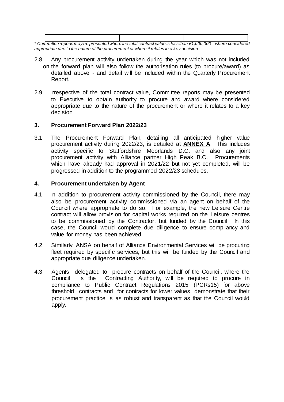| * Committee reports may be presented where the total contract value is less than £1,000,000 - where considered |  |  |
|----------------------------------------------------------------------------------------------------------------|--|--|

*appropriate due to the nature of the procurement or where it relates to a key decision*

- 2.8 Any procurement activity undertaken during the year which was not included on the forward plan will also follow the authorisation rules (to procure/award) as detailed above - and detail will be included within the Quarterly Procurement Report.
- 2.9 Irrespective of the total contract value, Committee reports may be presented to Executive to obtain authority to procure and award where considered appropriate due to the nature of the procurement or where it relates to a key decision.

#### **3. Procurement Forward Plan 2022/23**

3.1 The Procurement Forward Plan, detailing all anticipated higher value procurement activity during 2022/23, is detailed at **ANNEX A**. This includes activity specific to Staffordshire Moorlands D.C. and also any joint procurement activity with Alliance partner High Peak B.C. Procurements which have already had approval in 2021/22 but not yet completed, will be progressed in addition to the programmed 2022/23 schedules.

#### **4. Procurement undertaken by Agent**

- 4.1 In addition to procurement activity commissioned by the Council, there may also be procurement activity commissioned via an agent on behalf of the Council where appropriate to do so. For example, the new Leisure Centre contract will allow provision for capital works required on the Leisure centres to be commissioned by the Contractor, but funded by the Council. In this case, the Council would complete due diligence to ensure compliancy and value for money has been achieved.
- 4.2 Similarly, ANSA on behalf of Alliance Environmental Services will be procuring fleet required by specific services, but this will be funded by the Council and appropriate due diligence undertaken.
- 4.3 Agents delegated to procure contracts on behalf of the Council, where the Council is the Contracting Authority, will be required to procure in compliance to Public Contract Regulations 2015 (PCRs15) for above threshold contracts and for contracts for lower values demonstrate that their procurement practice is as robust and transparent as that the Council would apply.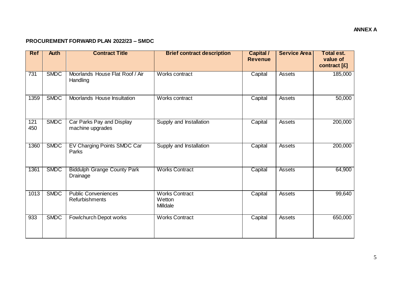#### **PROCUREMENT FORWARD PLAN 2022/23 – SMDC**

| <b>Ref</b> | <b>Auth</b> | <b>Contract Title</b>                          | <b>Brief contract description</b>           | <b>Capital /</b><br><b>Revenue</b> | <b>Service Area</b> | <b>Total est.</b><br>value of<br>contract [£] |
|------------|-------------|------------------------------------------------|---------------------------------------------|------------------------------------|---------------------|-----------------------------------------------|
| 731        | <b>SMDC</b> | Moorlands House Flat Roof / Air<br>Handling    | Works contract                              | Capital                            | Assets              | 185,000                                       |
| 1359       | <b>SMDC</b> | Moorlands House Insultation                    | Works contract                              | Capital                            | Assets              | 50,000                                        |
| 121<br>450 | <b>SMDC</b> | Car Parks Pay and Display<br>machine upgrades  | Supply and Installation                     | Capital                            | Assets              | 200,000                                       |
| 1360       | <b>SMDC</b> | EV Charging Points SMDC Car<br>Parks           | Supply and Installation                     | Capital                            | <b>Assets</b>       | 200,000                                       |
| 1361       | <b>SMDC</b> | <b>Biddulph Grange County Park</b><br>Drainage | <b>Works Contract</b>                       | Capital                            | Assets              | 64,900                                        |
| 1013       | <b>SMDC</b> | <b>Public Conveniences</b><br>Refurbishments   | <b>Works Contract</b><br>Wetton<br>Milldale | Capital                            | Assets              | 99,640                                        |
| 933        | <b>SMDC</b> | Fowlchurch Depot works                         | <b>Works Contract</b>                       | Capital                            | Assets              | 650,000                                       |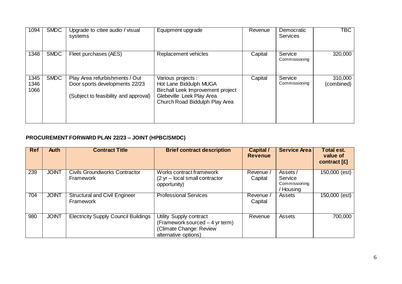| 1094                 | <b>SMDC</b> | Upgrade to cttee audio / visual<br>systems                                                                | Equipment upgrade                                                                                                                                | Revenue | Democratic<br><b>Services</b> | <b>TBC</b>            |
|----------------------|-------------|-----------------------------------------------------------------------------------------------------------|--------------------------------------------------------------------------------------------------------------------------------------------------|---------|-------------------------------|-----------------------|
| 1348                 | <b>SMDC</b> | Fleet purchases (AES)                                                                                     | Replacement vehicles                                                                                                                             | Capital | Service<br>Commissioning      | 320,000               |
| 1345<br>1346<br>1066 | <b>SMDC</b> | Play Area refurbishments / Out<br>Door sports developments 22/23<br>(Subject to feasibility and approval) | Various projects :<br>Hot Lane Biddulph MUGA<br>Birchall Leek Improvement project<br>Glebeville Leek Play Area<br>Church Road Biddulph Play Area | Capital | Service<br>Commissioning      | 310,000<br>(combined) |

### **PROCUREMENT FORWARD PLAN 22/23 – JOINT (HPBC/SMDC)**

| <b>Ref</b> | <b>Auth</b>  | <b>Contract Title</b>                             | <b>Brief contract description</b>                                                                             | <b>Capital /</b><br><b>Revenue</b> | <b>Service Area</b>                            | <b>Total est.</b><br>value of<br>contract [£] |
|------------|--------------|---------------------------------------------------|---------------------------------------------------------------------------------------------------------------|------------------------------------|------------------------------------------------|-----------------------------------------------|
| 239        | <b>JOINT</b> | <b>Civils Groundworks Contractor</b><br>Framework | Works contract framework<br>(2 yr - local small contractor<br>opportunity)                                    | Revenue /<br>Capital               | Assets/<br>Service<br>Commissioning<br>Housing | $150,000$ (est)                               |
| 704        | <b>JOINT</b> | <b>Structural and Civil Engineer</b><br>Framework | <b>Professional Services</b>                                                                                  | Revenue /<br>Capital               | Assets                                         | 150,000 (est)                                 |
| 980        | <b>JOINT</b> | <b>Electricity Supply Council Buildings</b>       | Utility Supply contract<br>(Framework sourced - 4 yr term)<br>(Climate Change: Review<br>alternative options) | Revenue                            | Assets                                         | 700,000                                       |